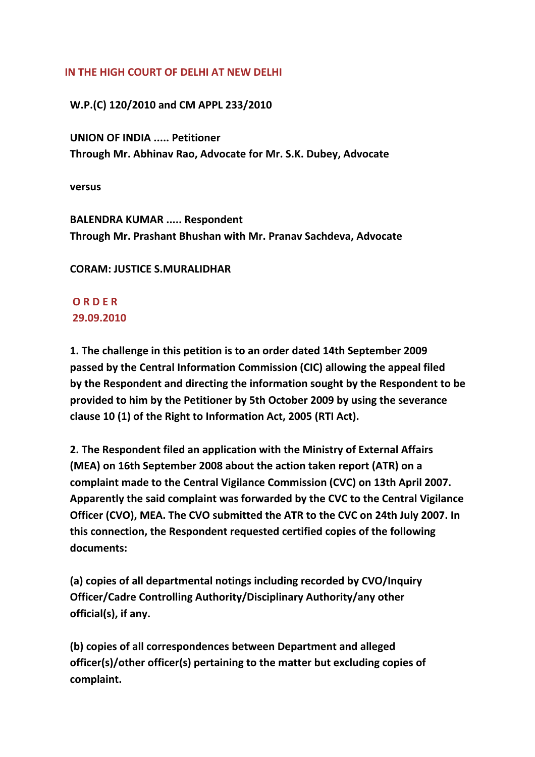### **IN THE HIGH COURT OF DELHI AT NEW DELHI**

## **W.P.(C) 120/2010 and CM APPL 233/2010**

 **UNION OF INDIA ..... Petitioner Through Mr. Abhinav Rao, Advocate for Mr. S.K. Dubey, Advocate**

 **versus**

 **BALENDRA KUMAR ..... Respondent Through Mr. Prashant Bhushan with Mr. Pranav Sachdeva, Advocate**

## **CORAM: JUSTICE S.MURALIDHAR**

# **O R D E R 29.09.2010**

 **1. The challenge in this petition is to an order dated 14th September 2009 passed by the Central Information Commission (CIC) allowing the appeal filed by the Respondent and directing the information sought by the Respondent to be provided to him by the Petitioner by 5th October 2009 by using the severance clause 10 (1) of the Right to Information Act, 2005 (RTI Act).**

 **2. The Respondent filed an application with the Ministry of External Affairs (MEA) on 16th September 2008 about the action taken report (ATR) on a complaint made to the Central Vigilance Commission (CVC) on 13th April 2007. Apparently the said complaint was forwarded by the CVC to the Central Vigilance Officer (CVO), MEA. The CVO submitted the ATR to the CVC on 24th July 2007. In this connection, the Respondent requested certified copies of the following documents:**

 **(a) copies of all departmental notings including recorded by CVO/Inquiry Officer/Cadre Controlling Authority/Disciplinary Authority/any other official(s), if any.**

 **(b) copies of all correspondences between Department and alleged officer(s)/other officer(s) pertaining to the matter but excluding copies of complaint.**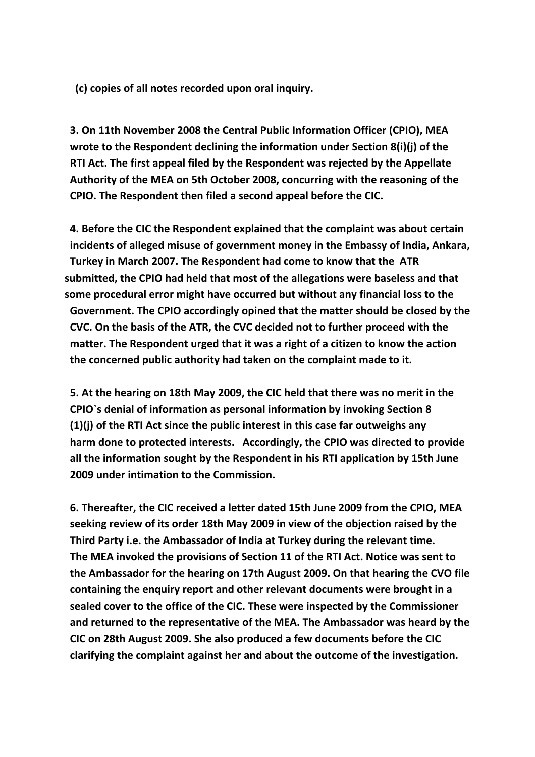**(c) copies of all notes recorded upon oral inquiry.**

 **3. On 11th November 2008 the Central Public Information Officer (CPIO), MEA wrote to the Respondent declining the information under Section 8(i)(j) of the RTI Act. The first appeal filed by the Respondent was rejected by the Appellate Authority of the MEA on 5th October 2008, concurring with the reasoning of the CPIO. The Respondent then filed a second appeal before the CIC.**

 **4. Before the CIC the Respondent explained that the complaint was about certain incidents of alleged misuse of government money in the Embassy of India, Ankara, Turkey in March 2007. The Respondent had come to know that the ATR submitted, the CPIO had held that most of the allegations were baseless and that some procedural error might have occurred but without any financial loss to the Government. The CPIO accordingly opined that the matter should be closed by the CVC. On the basis of the ATR, the CVC decided not to further proceed with the matter. The Respondent urged that it was a right of a citizen to know the action the concerned public authority had taken on the complaint made to it.**

 **5. At the hearing on 18th May 2009, the CIC held that there was no merit in the CPIO`s denial of information as personal information by invoking Section 8 (1)(j) of the RTI Act since the public interest in this case far outweighs any harm done to protected interests. Accordingly, the CPIO was directed to provide all the information sought by the Respondent in his RTI application by 15th June 2009 under intimation to the Commission.**

 **6. Thereafter, the CIC received a letter dated 15th June 2009 from the CPIO, MEA seeking review of its order 18th May 2009 in view of the objection raised by the Third Party i.e. the Ambassador of India at Turkey during the relevant time. The MEA invoked the provisions of Section 11 of the RTI Act. Notice was sent to the Ambassador for the hearing on 17th August 2009. On that hearing the CVO file containing the enquiry report and other relevant documents were brought in a sealed cover to the office of the CIC. These were inspected by the Commissioner and returned to the representative of the MEA. The Ambassador was heard by the CIC on 28th August 2009. She also produced a few documents before the CIC clarifying the complaint against her and about the outcome of the investigation.**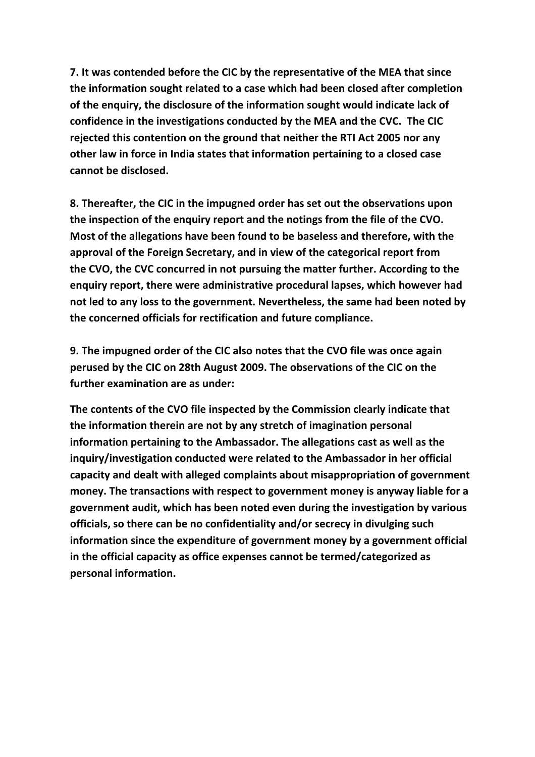**7. It was contended before the CIC by the representative of the MEA that since the information sought related to a case which had been closed after completion of the enquiry, the disclosure of the information sought would indicate lack of confidence in the investigations conducted by the MEA and the CVC. The CIC rejected this contention on the ground that neither the RTI Act 2005 nor any other law in force in India states that information pertaining to a closed case cannot be disclosed.**

 **8. Thereafter, the CIC in the impugned order has set out the observations upon the inspection of the enquiry report and the notings from the file of the CVO. Most of the allegations have been found to be baseless and therefore, with the approval of the Foreign Secretary, and in view of the categorical report from the CVO, the CVC concurred in not pursuing the matter further. According to the enquiry report, there were administrative procedural lapses, which however had not led to any loss to the government. Nevertheless, the same had been noted by the concerned officials for rectification and future compliance.**

 **9. The impugned order of the CIC also notes that the CVO file was once again perused by the CIC on 28th August 2009. The observations of the CIC on the further examination are as under:**

 **The contents of the CVO file inspected by the Commission clearly indicate that the information therein are not by any stretch of imagination personal information pertaining to the Ambassador. The allegations cast as well as the inquiry/investigation conducted were related to the Ambassador in her official capacity and dealt with alleged complaints about misappropriation of government money. The transactions with respect to government money is anyway liable for a government audit, which has been noted even during the investigation by various officials, so there can be no confidentiality and/or secrecy in divulging such information since the expenditure of government money by a government official in the official capacity as office expenses cannot be termed/categorized as personal information.**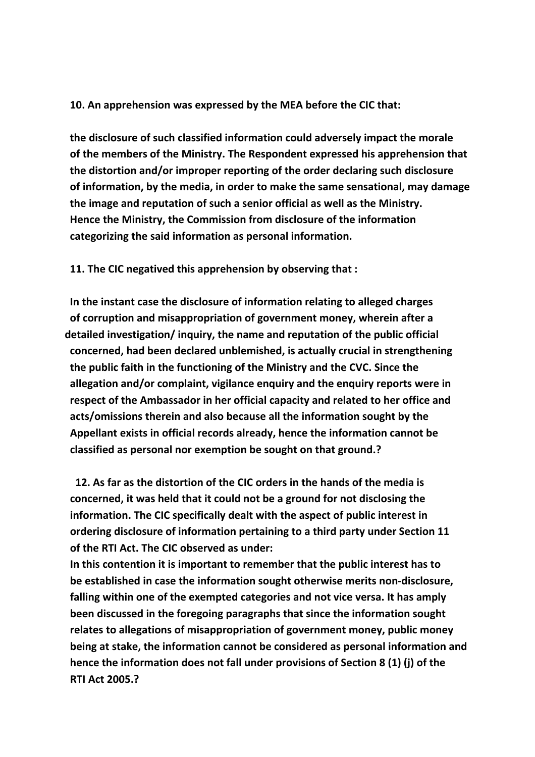### **10. An apprehension was expressed by the MEA before the CIC that:**

 **the disclosure of such classified information could adversely impact the morale of the members of the Ministry. The Respondent expressed his apprehension that the distortion and/or improper reporting of the order declaring such disclosure of information, by the media, in order to make the same sensational, may damage the image and reputation of such a senior official as well as the Ministry. Hence the Ministry, the Commission from disclosure of the information categorizing the said information as personal information.**

### **11. The CIC negatived this apprehension by observing that :**

 **In the instant case the disclosure of information relating to alleged charges of corruption and misappropriation of government money, wherein after a detailed investigation/ inquiry, the name and reputation of the public official concerned, had been declared unblemished, is actually crucial in strengthening the public faith in the functioning of the Ministry and the CVC. Since the allegation and/or complaint, vigilance enquiry and the enquiry reports were in respect of the Ambassador in her official capacity and related to her office and acts/omissions therein and also because all the information sought by the Appellant exists in official records already, hence the information cannot be classified as personal nor exemption be sought on that ground.?**

 **12. As far as the distortion of the CIC orders in the hands of the media is concerned, it was held that it could not be a ground for not disclosing the information. The CIC specifically dealt with the aspect of public interest in ordering disclosure of information pertaining to a third party under Section 11 of the RTI Act. The CIC observed as under:**

 **In this contention it is important to remember that the public interest has to be established in case the information sought otherwise merits non‐disclosure, falling within one of the exempted categories and not vice versa. It has amply been discussed in the foregoing paragraphs that since the information sought relates to allegations of misappropriation of government money, public money being at stake, the information cannot be considered as personal information and hence the information does not fall under provisions of Section 8 (1) (j) of the RTI Act 2005.?**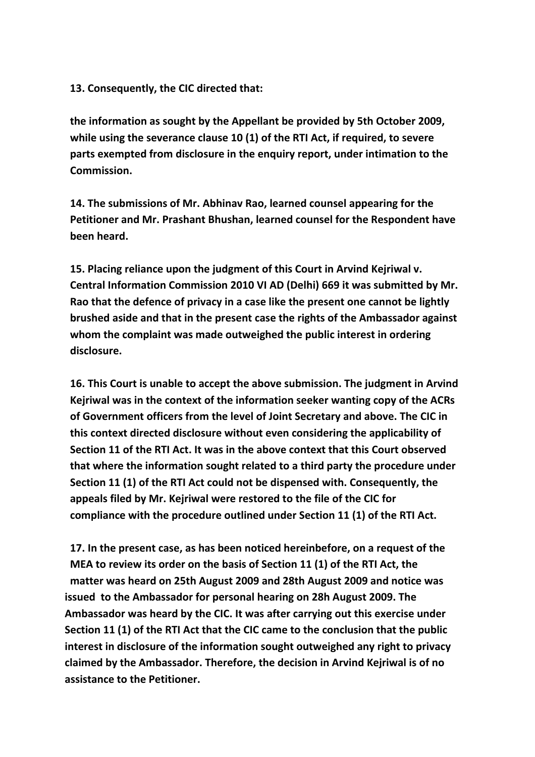**13. Consequently, the CIC directed that:**

 **the information as sought by the Appellant be provided by 5th October 2009, while using the severance clause 10 (1) of the RTI Act, if required, to severe parts exempted from disclosure in the enquiry report, under intimation to the Commission.**

 **14. The submissions of Mr. Abhinav Rao, learned counsel appearing for the Petitioner and Mr. Prashant Bhushan, learned counsel for the Respondent have been heard.**

 **15. Placing reliance upon the judgment of this Court in Arvind Kejriwal v. Central Information Commission 2010 VI AD (Delhi) 669 it was submitted by Mr. Rao that the defence of privacy in a case like the present one cannot be lightly brushed aside and that in the present case the rights of the Ambassador against whom the complaint was made outweighed the public interest in ordering disclosure.**

 **16. This Court is unable to accept the above submission. The judgment in Arvind Kejriwal was in the context of the information seeker wanting copy of the ACRs of Government officers from the level of Joint Secretary and above. The CIC in this context directed disclosure without even considering the applicability of Section 11 of the RTI Act. It was in the above context that this Court observed that where the information sought related to a third party the procedure under Section 11 (1) of the RTI Act could not be dispensed with. Consequently, the appeals filed by Mr. Kejriwal were restored to the file of the CIC for compliance with the procedure outlined under Section 11 (1) of the RTI Act.**

 **17. In the present case, as has been noticed hereinbefore, on a request of the MEA to review its order on the basis of Section 11 (1) of the RTI Act, the matter was heard on 25th August 2009 and 28th August 2009 and notice was issued to the Ambassador for personal hearing on 28h August 2009. The Ambassador was heard by the CIC. It was after carrying out this exercise under Section 11 (1) of the RTI Act that the CIC came to the conclusion that the public interest in disclosure of the information sought outweighed any right to privacy claimed by the Ambassador. Therefore, the decision in Arvind Kejriwal is of no assistance to the Petitioner.**